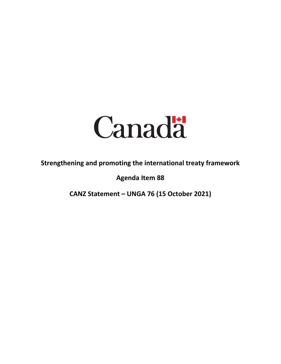

**Strengthening and promoting the international treaty framework**

**Agenda Item 88**

**CANZ Statement – UNGA 76 (15 October 2021)**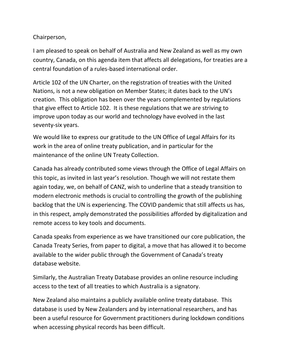## Chairperson,

I am pleased to speak on behalf of Australia and New Zealand as well as my own country, Canada, on this agenda item that affects all delegations, for treaties are a central foundation of a rules-based international order.

Article 102 of the UN Charter, on the registration of treaties with the United Nations, is not a new obligation on Member States; it dates back to the UN's creation. This obligation has been over the years complemented by regulations that give effect to Article 102. It is these regulations that we are striving to improve upon today as our world and technology have evolved in the last seventy-six years.

We would like to express our gratitude to the UN Office of Legal Affairs for its work in the area of online treaty publication, and in particular for the maintenance of the online UN Treaty Collection.

Canada has already contributed some views through the Office of Legal Affairs on this topic, as invited in last year's resolution. Though we will not restate them again today, we, on behalf of CANZ, wish to underline that a steady transition to modern electronic methods is crucial to controlling the growth of the publishing backlog that the UN is experiencing. The COVID pandemic that still affects us has, in this respect, amply demonstrated the possibilities afforded by digitalization and remote access to key tools and documents.

Canada speaks from experience as we have transitioned our core publication, the Canada Treaty Series, from paper to digital, a move that has allowed it to become available to the wider public through the Government of Canada's treaty database website.

Similarly, the Australian Treaty Database provides an online resource including access to the text of all treaties to which Australia is a signatory.

New Zealand also maintains a publicly available online treaty database. This database is used by New Zealanders and by international researchers, and has been a useful resource for Government practitioners during lockdown conditions when accessing physical records has been difficult.